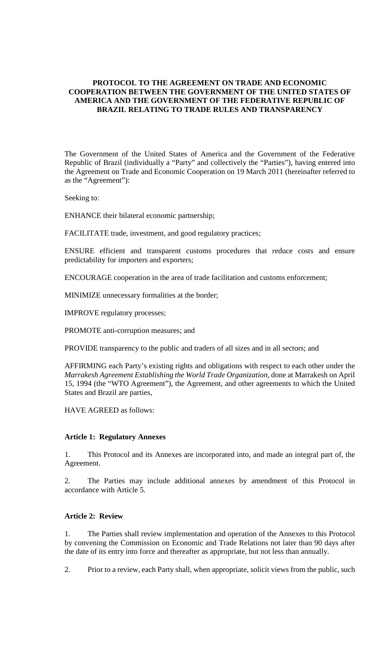### **PROTOCOL TO THE AGREEMENT ON TRADE AND ECONOMIC COOPERATION BETWEEN THE GOVERNMENT OF THE UNITED STATES OF AMERICA AND THE GOVERNMENT OF THE FEDERATIVE REPUBLIC OF BRAZIL RELATING TO TRADE RULES AND TRANSPARENCY**

The Government of the United States of America and the Government of the Federative Republic of Brazil (individually a "Party" and collectively the "Parties"), having entered into the Agreement on Trade and Economic Cooperation on 19 March 2011 (hereinafter referred to as the "Agreement"):

Seeking to:

ENHANCE their bilateral economic partnership;

FACILITATE trade, investment, and good regulatory practices;

ENSURE efficient and transparent customs procedures that reduce costs and ensure predictability for importers and exporters;

ENCOURAGE cooperation in the area of trade facilitation and customs enforcement;

MINIMIZE unnecessary formalities at the border;

IMPROVE regulatory processes;

PROMOTE anti-corruption measures; and

PROVIDE transparency to the public and traders of all sizes and in all sectors; and

AFFIRMING each Party's existing rights and obligations with respect to each other under the *Marrakesh Agreement Establishing the World Trade Organization*, done at Marrakesh on April 15, 1994 (the "WTO Agreement"), the Agreement, and other agreements to which the United States and Brazil are parties,

HAVE AGREED as follows:

#### **Article 1: Regulatory Annexes**

1. This Protocol and its Annexes are incorporated into, and made an integral part of, the Agreement.

2. The Parties may include additional annexes by amendment of this Protocol in accordance with Article 5.

### **Article 2: Review**

1. The Parties shall review implementation and operation of the Annexes to this Protocol by convening the Commission on Economic and Trade Relations not later than 90 days after the date of its entry into force and thereafter as appropriate, but not less than annually.

2. Prior to a review, each Party shall, when appropriate, solicit views from the public, such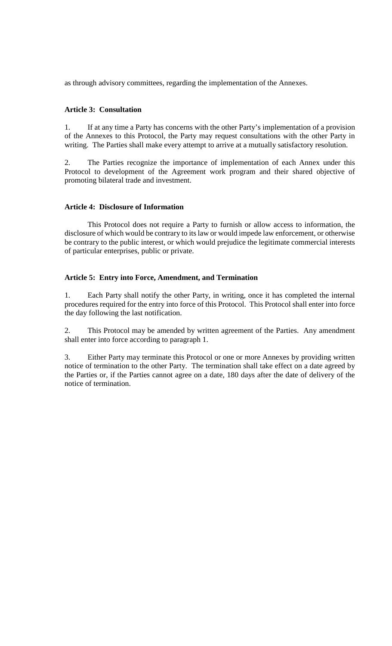as through advisory committees, regarding the implementation of the Annexes.

### **Article 3: Consultation**

1. If at any time a Party has concerns with the other Party's implementation of a provision of the Annexes to this Protocol, the Party may request consultations with the other Party in writing. The Parties shall make every attempt to arrive at a mutually satisfactory resolution.

2. The Parties recognize the importance of implementation of each Annex under this Protocol to development of the Agreement work program and their shared objective of promoting bilateral trade and investment.

### **Article 4: Disclosure of Information**

This Protocol does not require a Party to furnish or allow access to information, the disclosure of which would be contrary to its law or would impede law enforcement, or otherwise be contrary to the public interest, or which would prejudice the legitimate commercial interests of particular enterprises, public or private.

### **Article 5: Entry into Force, Amendment, and Termination**

1. Each Party shall notify the other Party, in writing, once it has completed the internal procedures required for the entry into force of this Protocol. This Protocol shall enter into force the day following the last notification.

2. This Protocol may be amended by written agreement of the Parties. Any amendment shall enter into force according to paragraph 1.

3. Either Party may terminate this Protocol or one or more Annexes by providing written notice of termination to the other Party. The termination shall take effect on a date agreed by the Parties or, if the Parties cannot agree on a date, 180 days after the date of delivery of the notice of termination.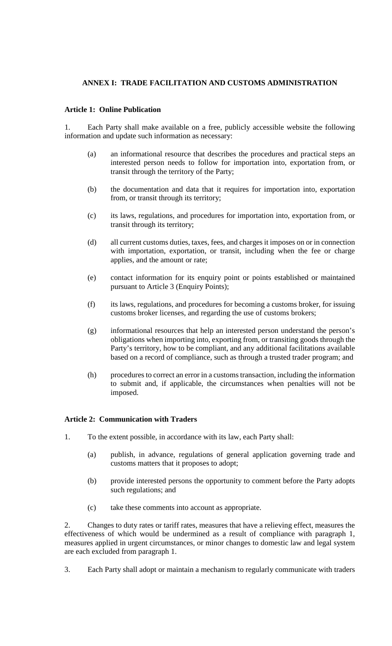# **ANNEX I: TRADE FACILITATION AND CUSTOMS ADMINISTRATION**

### **Article 1: Online Publication**

1. Each Party shall make available on a free, publicly accessible website the following information and update such information as necessary:

- (a) an informational resource that describes the procedures and practical steps an interested person needs to follow for importation into, exportation from, or transit through the territory of the Party;
- (b) the documentation and data that it requires for importation into, exportation from, or transit through its territory;
- (c) its laws, regulations, and procedures for importation into, exportation from, or transit through its territory;
- (d) all current customs duties, taxes, fees, and charges it imposes on or in connection with importation, exportation, or transit, including when the fee or charge applies, and the amount or rate;
- (e) contact information for its enquiry point or points established or maintained pursuant to Article 3 (Enquiry Points);
- (f) its laws, regulations, and procedures for becoming a customs broker, for issuing customs broker licenses, and regarding the use of customs brokers;
- (g) informational resources that help an interested person understand the person's obligations when importing into, exporting from, or transiting goods through the Party's territory, how to be compliant, and any additional facilitations available based on a record of compliance, such as through a trusted trader program; and
- (h) procedures to correct an error in a customs transaction, including the information to submit and, if applicable, the circumstances when penalties will not be imposed.

#### **Article 2: Communication with Traders**

- 1. To the extent possible, in accordance with its law, each Party shall:
	- (a) publish, in advance, regulations of general application governing trade and customs matters that it proposes to adopt;
	- (b) provide interested persons the opportunity to comment before the Party adopts such regulations; and
	- (c) take these comments into account as appropriate.

2. Changes to duty rates or tariff rates, measures that have a relieving effect, measures the effectiveness of which would be undermined as a result of compliance with paragraph 1, measures applied in urgent circumstances, or minor changes to domestic law and legal system are each excluded from paragraph 1.

3. Each Party shall adopt or maintain a mechanism to regularly communicate with traders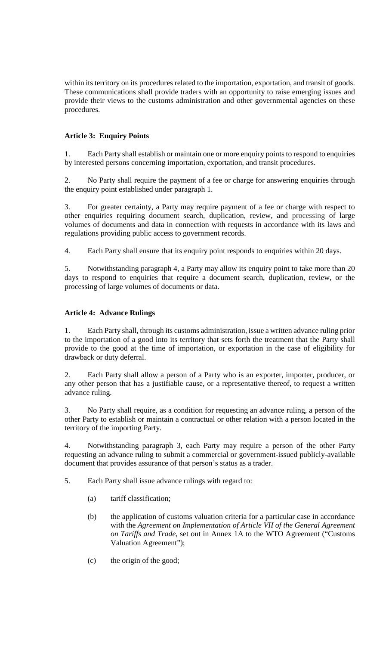within its territory on its procedures related to the importation, exportation, and transit of goods. These communications shall provide traders with an opportunity to raise emerging issues and provide their views to the customs administration and other governmental agencies on these procedures.

# **Article 3: Enquiry Points**

1. Each Party shall establish or maintain one or more enquiry points to respond to enquiries by interested persons concerning importation, exportation, and transit procedures.

2. No Party shall require the payment of a fee or charge for answering enquiries through the enquiry point established under paragraph 1.

3. For greater certainty, a Party may require payment of a fee or charge with respect to other enquiries requiring document search, duplication, review, and processing of large volumes of documents and data in connection with requests in accordance with its laws and regulations providing public access to government records.

4. Each Party shall ensure that its enquiry point responds to enquiries within 20 days.

5. Notwithstanding paragraph 4, a Party may allow its enquiry point to take more than 20 days to respond to enquiries that require a document search, duplication, review, or the processing of large volumes of documents or data.

# **Article 4: Advance Rulings**

1. Each Party shall, through its customs administration, issue a written advance ruling prior to the importation of a good into its territory that sets forth the treatment that the Party shall provide to the good at the time of importation, or exportation in the case of eligibility for drawback or duty deferral.

2. Each Party shall allow a person of a Party who is an exporter, importer, producer, or any other person that has a justifiable cause, or a representative thereof, to request a written advance ruling.

3. No Party shall require, as a condition for requesting an advance ruling, a person of the other Party to establish or maintain a contractual or other relation with a person located in the territory of the importing Party.

4. Notwithstanding paragraph 3, each Party may require a person of the other Party requesting an advance ruling to submit a commercial or government-issued publicly-available document that provides assurance of that person's status as a trader.

5. Each Party shall issue advance rulings with regard to:

- (a) tariff classification;
- (b) the application of customs valuation criteria for a particular case in accordance with the *Agreement on Implementation of Article VII of the General Agreement on Tariffs and Trade*, set out in Annex 1A to the WTO Agreement ("Customs Valuation Agreement");
- (c) the origin of the good;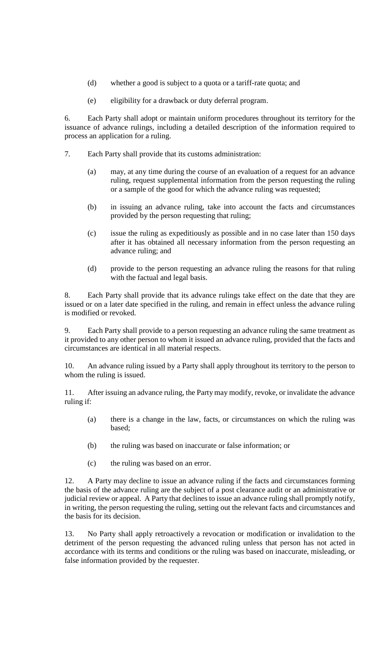- (d) whether a good is subject to a quota or a tariff-rate quota; and
- (e) eligibility for a drawback or duty deferral program.

6. Each Party shall adopt or maintain uniform procedures throughout its territory for the issuance of advance rulings, including a detailed description of the information required to process an application for a ruling.

- 7. Each Party shall provide that its customs administration:
	- (a) may, at any time during the course of an evaluation of a request for an advance ruling, request supplemental information from the person requesting the ruling or a sample of the good for which the advance ruling was requested;
	- (b) in issuing an advance ruling, take into account the facts and circumstances provided by the person requesting that ruling;
	- (c) issue the ruling as expeditiously as possible and in no case later than 150 days after it has obtained all necessary information from the person requesting an advance ruling; and
	- (d) provide to the person requesting an advance ruling the reasons for that ruling with the factual and legal basis.

8. Each Party shall provide that its advance rulings take effect on the date that they are issued or on a later date specified in the ruling, and remain in effect unless the advance ruling is modified or revoked.

9. Each Party shall provide to a person requesting an advance ruling the same treatment as it provided to any other person to whom it issued an advance ruling, provided that the facts and circumstances are identical in all material respects.

10. An advance ruling issued by a Party shall apply throughout its territory to the person to whom the ruling is issued.

11. After issuing an advance ruling, the Party may modify, revoke, or invalidate the advance ruling if:

- (a) there is a change in the law, facts, or circumstances on which the ruling was based;
- (b) the ruling was based on inaccurate or false information; or
- (c) the ruling was based on an error.

12. A Party may decline to issue an advance ruling if the facts and circumstances forming the basis of the advance ruling are the subject of a post clearance audit or an administrative or judicial review or appeal. A Party that declines to issue an advance ruling shall promptly notify, in writing, the person requesting the ruling, setting out the relevant facts and circumstances and the basis for its decision.

13. No Party shall apply retroactively a revocation or modification or invalidation to the detriment of the person requesting the advanced ruling unless that person has not acted in accordance with its terms and conditions or the ruling was based on inaccurate, misleading, or false information provided by the requester.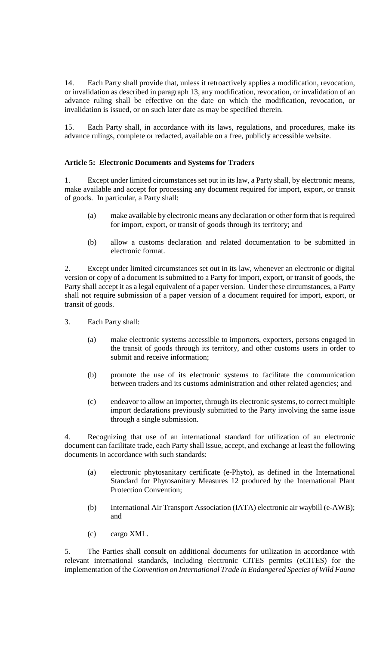14. Each Party shall provide that, unless it retroactively applies a modification, revocation, or invalidation as described in paragraph 13, any modification, revocation, or invalidation of an advance ruling shall be effective on the date on which the modification, revocation, or invalidation is issued, or on such later date as may be specified therein.

15. Each Party shall, in accordance with its laws, regulations, and procedures, make its advance rulings, complete or redacted, available on a free, publicly accessible website.

## **Article 5: Electronic Documents and Systems for Traders**

1. Except under limited circumstances set out in its law, a Party shall, by electronic means, make available and accept for processing any document required for import, export, or transit of goods. In particular, a Party shall:

- (a) make available by electronic means any declaration or other form that is required for import, export, or transit of goods through its territory; and
- (b) allow a customs declaration and related documentation to be submitted in electronic format.

2. Except under limited circumstances set out in its law, whenever an electronic or digital version or copy of a document is submitted to a Party for import, export, or transit of goods, the Party shall accept it as a legal equivalent of a paper version. Under these circumstances, a Party shall not require submission of a paper version of a document required for import, export, or transit of goods.

- 3. Each Party shall:
	- (a) make electronic systems accessible to importers, exporters, persons engaged in the transit of goods through its territory, and other customs users in order to submit and receive information;
	- (b) promote the use of its electronic systems to facilitate the communication between traders and its customs administration and other related agencies; and
	- (c) endeavor to allow an importer, through its electronic systems, to correct multiple import declarations previously submitted to the Party involving the same issue through a single submission.

4. Recognizing that use of an international standard for utilization of an electronic document can facilitate trade, each Party shall issue, accept, and exchange at least the following documents in accordance with such standards:

- (a) electronic phytosanitary certificate (e-Phyto), as defined in the International Standard for Phytosanitary Measures 12 produced by the International Plant Protection Convention;
- (b) International Air Transport Association (IATA) electronic air waybill (e-AWB); and
- (c) cargo XML.

5. The Parties shall consult on additional documents for utilization in accordance with relevant international standards, including electronic CITES permits (eCITES) for the implementation of the *Convention on International Trade in Endangered Species of Wild Fauna*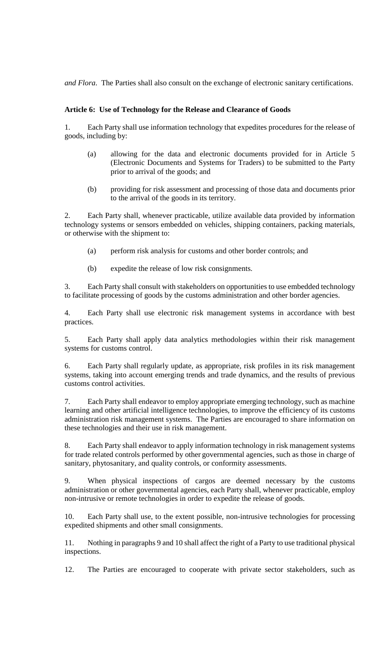*and Flora*. The Parties shall also consult on the exchange of electronic sanitary certifications.

### **Article 6: Use of Technology for the Release and Clearance of Goods**

1. Each Party shall use information technology that expedites procedures for the release of goods, including by:

- (a) allowing for the data and electronic documents provided for in Article 5 (Electronic Documents and Systems for Traders) to be submitted to the Party prior to arrival of the goods; and
- (b) providing for risk assessment and processing of those data and documents prior to the arrival of the goods in its territory.

2. Each Party shall, whenever practicable, utilize available data provided by information technology systems or sensors embedded on vehicles, shipping containers, packing materials, or otherwise with the shipment to:

- (a) perform risk analysis for customs and other border controls; and
- (b) expedite the release of low risk consignments.

3. Each Party shall consult with stakeholders on opportunities to use embedded technology to facilitate processing of goods by the customs administration and other border agencies.

4. Each Party shall use electronic risk management systems in accordance with best practices.

5. Each Party shall apply data analytics methodologies within their risk management systems for customs control.

6. Each Party shall regularly update, as appropriate, risk profiles in its risk management systems, taking into account emerging trends and trade dynamics, and the results of previous customs control activities.

7. Each Party shall endeavor to employ appropriate emerging technology, such as machine learning and other artificial intelligence technologies, to improve the efficiency of its customs administration risk management systems. The Parties are encouraged to share information on these technologies and their use in risk management.

8. Each Party shall endeavor to apply information technology in risk management systems for trade related controls performed by other governmental agencies, such as those in charge of sanitary, phytosanitary, and quality controls, or conformity assessments.

9. When physical inspections of cargos are deemed necessary by the customs administration or other governmental agencies, each Party shall, whenever practicable, employ non-intrusive or remote technologies in order to expedite the release of goods.

10. Each Party shall use, to the extent possible, non-intrusive technologies for processing expedited shipments and other small consignments.

11. Nothing in paragraphs 9 and 10 shall affect the right of a Party to use traditional physical inspections.

12. The Parties are encouraged to cooperate with private sector stakeholders, such as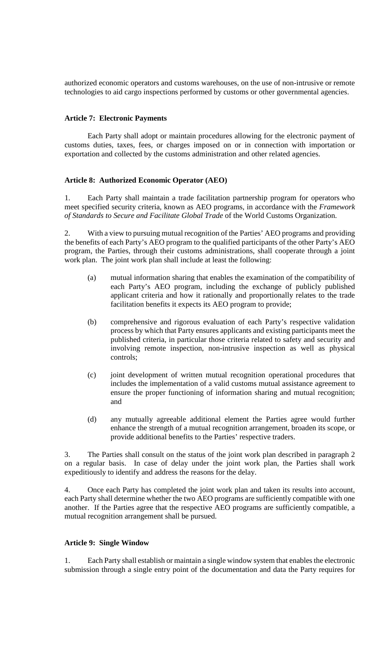authorized economic operators and customs warehouses, on the use of non-intrusive or remote technologies to aid cargo inspections performed by customs or other governmental agencies.

### **Article 7: Electronic Payments**

Each Party shall adopt or maintain procedures allowing for the electronic payment of customs duties, taxes, fees, or charges imposed on or in connection with importation or exportation and collected by the customs administration and other related agencies.

## **Article 8: Authorized Economic Operator (AEO)**

1. Each Party shall maintain a trade facilitation partnership program for operators who meet specified security criteria, known as AEO programs, in accordance with the *Framework of Standards to Secure and Facilitate Global Trade* of the World Customs Organization.

2. With a view to pursuing mutual recognition of the Parties' AEO programs and providing the benefits of each Party's AEO program to the qualified participants of the other Party's AEO program, the Parties, through their customs administrations, shall cooperate through a joint work plan. The joint work plan shall include at least the following:

- (a) mutual information sharing that enables the examination of the compatibility of each Party's AEO program, including the exchange of publicly published applicant criteria and how it rationally and proportionally relates to the trade facilitation benefits it expects its AEO program to provide;
- (b) comprehensive and rigorous evaluation of each Party's respective validation process by which that Party ensures applicants and existing participants meet the published criteria, in particular those criteria related to safety and security and involving remote inspection, non-intrusive inspection as well as physical controls;
- (c) joint development of written mutual recognition operational procedures that includes the implementation of a valid customs mutual assistance agreement to ensure the proper functioning of information sharing and mutual recognition; and
- (d) any mutually agreeable additional element the Parties agree would further enhance the strength of a mutual recognition arrangement, broaden its scope, or provide additional benefits to the Parties' respective traders.

3. The Parties shall consult on the status of the joint work plan described in paragraph 2 on a regular basis. In case of delay under the joint work plan, the Parties shall work expeditiously to identify and address the reasons for the delay.

4. Once each Party has completed the joint work plan and taken its results into account, each Party shall determine whether the two AEO programs are sufficiently compatible with one another. If the Parties agree that the respective AEO programs are sufficiently compatible, a mutual recognition arrangement shall be pursued.

### **Article 9: Single Window**

1. Each Party shall establish or maintain a single window system that enables the electronic submission through a single entry point of the documentation and data the Party requires for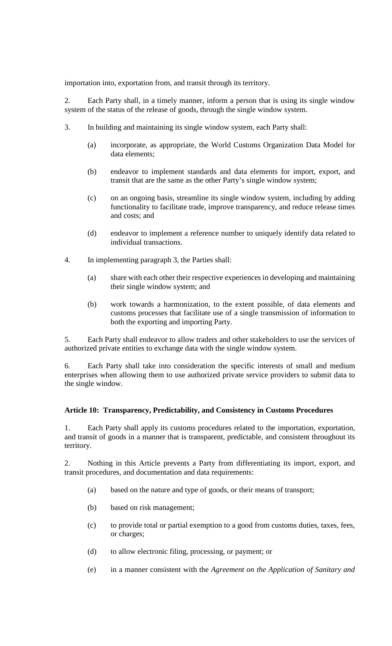importation into, exportation from, and transit through its territory.

2. Each Party shall, in a timely manner, inform a person that is using its single window system of the status of the release of goods, through the single window system.

- 3. In building and maintaining its single window system, each Party shall:
	- (a) incorporate, as appropriate, the World Customs Organization Data Model for data elements;
	- (b) endeavor to implement standards and data elements for import, export, and transit that are the same as the other Party's single window system;
	- (c) on an ongoing basis, streamline its single window system, including by adding functionality to facilitate trade, improve transparency, and reduce release times and costs; and
	- (d) endeavor to implement a reference number to uniquely identify data related to individual transactions.
- 4. In implementing paragraph 3, the Parties shall:
	- (a) share with each other their respective experiences in developing and maintaining their single window system; and
	- (b) work towards a harmonization, to the extent possible, of data elements and customs processes that facilitate use of a single transmission of information to both the exporting and importing Party.

5. Each Party shall endeavor to allow traders and other stakeholders to use the services of authorized private entities to exchange data with the single window system.

6. Each Party shall take into consideration the specific interests of small and medium enterprises when allowing them to use authorized private service providers to submit data to the single window.

## **Article 10: Transparency, Predictability, and Consistency in Customs Procedures**

Each Party shall apply its customs procedures related to the importation, exportation, and transit of goods in a manner that is transparent, predictable, and consistent throughout its territory.

2. Nothing in this Article prevents a Party from differentiating its import, export, and transit procedures, and documentation and data requirements:

- (a) based on the nature and type of goods, or their means of transport;
- (b) based on risk management;
- (c) to provide total or partial exemption to a good from customs duties, taxes, fees, or charges;
- (d) to allow electronic filing, processing, or payment; or
- (e) in a manner consistent with the *Agreement on the Application of Sanitary and*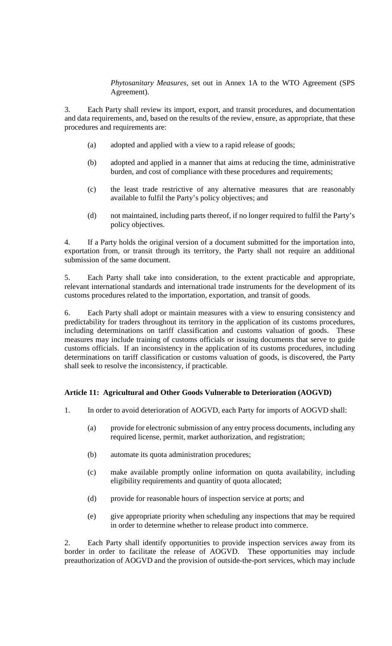## *Phytosanitary Measures*, set out in Annex 1A to the WTO Agreement (SPS Agreement).

3. Each Party shall review its import, export, and transit procedures, and documentation and data requirements, and, based on the results of the review, ensure, as appropriate, that these procedures and requirements are:

- (a) adopted and applied with a view to a rapid release of goods;
- (b) adopted and applied in a manner that aims at reducing the time, administrative burden, and cost of compliance with these procedures and requirements;
- (c) the least trade restrictive of any alternative measures that are reasonably available to fulfil the Party's policy objectives; and
- (d) not maintained, including parts thereof, if no longer required to fulfil the Party's policy objectives.

4. If a Party holds the original version of a document submitted for the importation into, exportation from, or transit through its territory, the Party shall not require an additional submission of the same document.

5. Each Party shall take into consideration, to the extent practicable and appropriate, relevant international standards and international trade instruments for the development of its customs procedures related to the importation, exportation, and transit of goods.

6. Each Party shall adopt or maintain measures with a view to ensuring consistency and predictability for traders throughout its territory in the application of its customs procedures, including determinations on tariff classification and customs valuation of goods. These measures may include training of customs officials or issuing documents that serve to guide customs officials. If an inconsistency in the application of its customs procedures, including determinations on tariff classification or customs valuation of goods, is discovered, the Party shall seek to resolve the inconsistency, if practicable.

# **Article 11: Agricultural and Other Goods Vulnerable to Deterioration (AOGVD)**

- 1. In order to avoid deterioration of AOGVD, each Party for imports of AOGVD shall:
	- (a) provide for electronic submission of any entry process documents, including any required license, permit, market authorization, and registration;
	- (b) automate its quota administration procedures;
	- (c) make available promptly online information on quota availability, including eligibility requirements and quantity of quota allocated;
	- (d) provide for reasonable hours of inspection service at ports; and
	- (e) give appropriate priority when scheduling any inspections that may be required in order to determine whether to release product into commerce.

2. Each Party shall identify opportunities to provide inspection services away from its border in order to facilitate the release of AOGVD. These opportunities may include preauthorization of AOGVD and the provision of outside-the-port services, which may include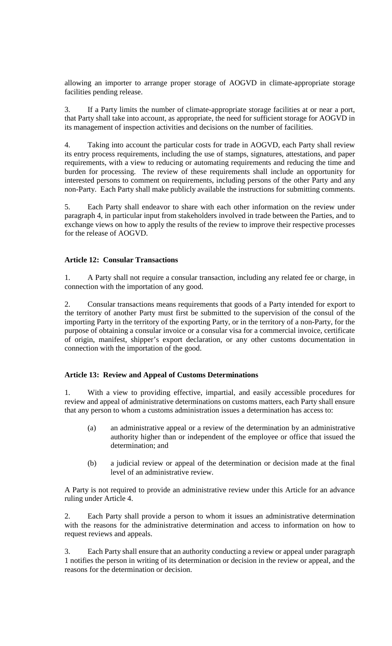allowing an importer to arrange proper storage of AOGVD in climate-appropriate storage facilities pending release.

3. If a Party limits the number of climate-appropriate storage facilities at or near a port, that Party shall take into account, as appropriate, the need for sufficient storage for AOGVD in its management of inspection activities and decisions on the number of facilities.

4. Taking into account the particular costs for trade in AOGVD, each Party shall review its entry process requirements, including the use of stamps, signatures, attestations, and paper requirements, with a view to reducing or automating requirements and reducing the time and burden for processing. The review of these requirements shall include an opportunity for interested persons to comment on requirements, including persons of the other Party and any non-Party. Each Party shall make publicly available the instructions for submitting comments.

5. Each Party shall endeavor to share with each other information on the review under paragraph 4, in particular input from stakeholders involved in trade between the Parties, and to exchange views on how to apply the results of the review to improve their respective processes for the release of AOGVD.

## **Article 12: Consular Transactions**

1. A Party shall not require a consular transaction, including any related fee or charge, in connection with the importation of any good.

2. Consular transactions means requirements that goods of a Party intended for export to the territory of another Party must first be submitted to the supervision of the consul of the importing Party in the territory of the exporting Party, or in the territory of a non-Party, for the purpose of obtaining a consular invoice or a consular visa for a commercial invoice, certificate of origin, manifest, shipper's export declaration, or any other customs documentation in connection with the importation of the good.

## **Article 13: Review and Appeal of Customs Determinations**

1. With a view to providing effective, impartial, and easily accessible procedures for review and appeal of administrative determinations on customs matters, each Party shall ensure that any person to whom a customs administration issues a determination has access to:

- (a) an administrative appeal or a review of the determination by an administrative authority higher than or independent of the employee or office that issued the determination; and
- (b) a judicial review or appeal of the determination or decision made at the final level of an administrative review.

A Party is not required to provide an administrative review under this Article for an advance ruling under Article 4.

2. Each Party shall provide a person to whom it issues an administrative determination with the reasons for the administrative determination and access to information on how to request reviews and appeals.

3. Each Party shall ensure that an authority conducting a review or appeal under paragraph 1 notifies the person in writing of its determination or decision in the review or appeal, and the reasons for the determination or decision.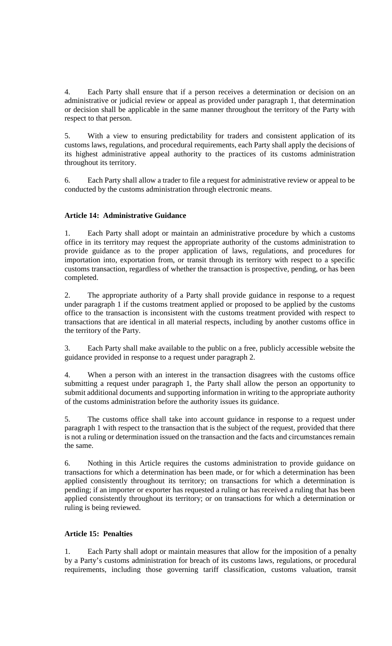4. Each Party shall ensure that if a person receives a determination or decision on an administrative or judicial review or appeal as provided under paragraph 1, that determination or decision shall be applicable in the same manner throughout the territory of the Party with respect to that person.

5. With a view to ensuring predictability for traders and consistent application of its customs laws, regulations, and procedural requirements, each Party shall apply the decisions of its highest administrative appeal authority to the practices of its customs administration throughout its territory.

6. Each Party shall allow a trader to file a request for administrative review or appeal to be conducted by the customs administration through electronic means.

# **Article 14: Administrative Guidance**

1. Each Party shall adopt or maintain an administrative procedure by which a customs office in its territory may request the appropriate authority of the customs administration to provide guidance as to the proper application of laws, regulations, and procedures for importation into, exportation from, or transit through its territory with respect to a specific customs transaction, regardless of whether the transaction is prospective, pending, or has been completed.

2. The appropriate authority of a Party shall provide guidance in response to a request under paragraph 1 if the customs treatment applied or proposed to be applied by the customs office to the transaction is inconsistent with the customs treatment provided with respect to transactions that are identical in all material respects, including by another customs office in the territory of the Party.

3. Each Party shall make available to the public on a free, publicly accessible website the guidance provided in response to a request under paragraph 2.

4. When a person with an interest in the transaction disagrees with the customs office submitting a request under paragraph 1, the Party shall allow the person an opportunity to submit additional documents and supporting information in writing to the appropriate authority of the customs administration before the authority issues its guidance.

5. The customs office shall take into account guidance in response to a request under paragraph 1 with respect to the transaction that is the subject of the request, provided that there is not a ruling or determination issued on the transaction and the facts and circumstances remain the same.

6. Nothing in this Article requires the customs administration to provide guidance on transactions for which a determination has been made, or for which a determination has been applied consistently throughout its territory; on transactions for which a determination is pending; if an importer or exporter has requested a ruling or has received a ruling that has been applied consistently throughout its territory; or on transactions for which a determination or ruling is being reviewed.

## **Article 15: Penalties**

1. Each Party shall adopt or maintain measures that allow for the imposition of a penalty by a Party's customs administration for breach of its customs laws, regulations, or procedural requirements, including those governing tariff classification, customs valuation, transit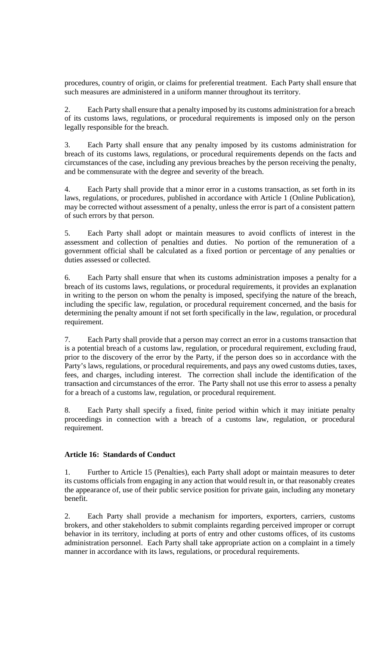procedures, country of origin, or claims for preferential treatment. Each Party shall ensure that such measures are administered in a uniform manner throughout its territory.

2. Each Party shall ensure that a penalty imposed by its customs administration for a breach of its customs laws, regulations, or procedural requirements is imposed only on the person legally responsible for the breach.

3. Each Party shall ensure that any penalty imposed by its customs administration for breach of its customs laws, regulations, or procedural requirements depends on the facts and circumstances of the case, including any previous breaches by the person receiving the penalty, and be commensurate with the degree and severity of the breach.

4. Each Party shall provide that a minor error in a customs transaction, as set forth in its laws, regulations, or procedures, published in accordance with Article 1 (Online Publication), may be corrected without assessment of a penalty, unless the error is part of a consistent pattern of such errors by that person.

5. Each Party shall adopt or maintain measures to avoid conflicts of interest in the assessment and collection of penalties and duties. No portion of the remuneration of a government official shall be calculated as a fixed portion or percentage of any penalties or duties assessed or collected.

6. Each Party shall ensure that when its customs administration imposes a penalty for a breach of its customs laws, regulations, or procedural requirements, it provides an explanation in writing to the person on whom the penalty is imposed, specifying the nature of the breach, including the specific law, regulation, or procedural requirement concerned, and the basis for determining the penalty amount if not set forth specifically in the law, regulation, or procedural requirement.

7. Each Party shall provide that a person may correct an error in a customs transaction that is a potential breach of a customs law, regulation, or procedural requirement, excluding fraud, prior to the discovery of the error by the Party, if the person does so in accordance with the Party's laws, regulations, or procedural requirements, and pays any owed customs duties, taxes, fees, and charges, including interest. The correction shall include the identification of the transaction and circumstances of the error. The Party shall not use this error to assess a penalty for a breach of a customs law, regulation, or procedural requirement.

8. Each Party shall specify a fixed, finite period within which it may initiate penalty proceedings in connection with a breach of a customs law, regulation, or procedural requirement.

## **Article 16: Standards of Conduct**

1. Further to Article 15 (Penalties), each Party shall adopt or maintain measures to deter its customs officials from engaging in any action that would result in, or that reasonably creates the appearance of, use of their public service position for private gain, including any monetary benefit.

2. Each Party shall provide a mechanism for importers, exporters, carriers, customs brokers, and other stakeholders to submit complaints regarding perceived improper or corrupt behavior in its territory, including at ports of entry and other customs offices, of its customs administration personnel. Each Party shall take appropriate action on a complaint in a timely manner in accordance with its laws, regulations, or procedural requirements.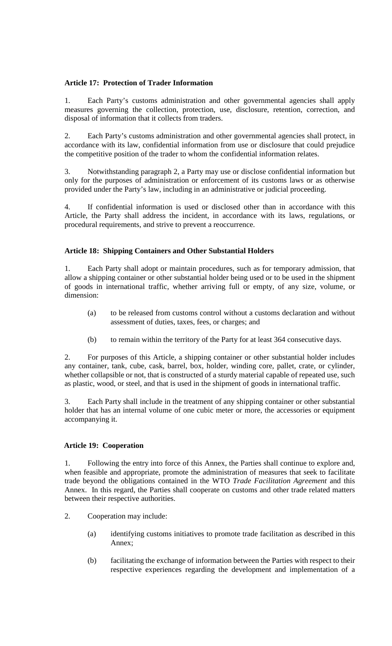# **Article 17: Protection of Trader Information**

1. Each Party's customs administration and other governmental agencies shall apply measures governing the collection, protection, use, disclosure, retention, correction, and disposal of information that it collects from traders.

2. Each Party's customs administration and other governmental agencies shall protect, in accordance with its law, confidential information from use or disclosure that could prejudice the competitive position of the trader to whom the confidential information relates.

3. Notwithstanding paragraph 2, a Party may use or disclose confidential information but only for the purposes of administration or enforcement of its customs laws or as otherwise provided under the Party's law, including in an administrative or judicial proceeding.

4. If confidential information is used or disclosed other than in accordance with this Article, the Party shall address the incident, in accordance with its laws, regulations, or procedural requirements, and strive to prevent a reoccurrence.

# **Article 18: Shipping Containers and Other Substantial Holders**

1. Each Party shall adopt or maintain procedures, such as for temporary admission, that allow a shipping container or other substantial holder being used or to be used in the shipment of goods in international traffic, whether arriving full or empty, of any size, volume, or dimension:

- (a) to be released from customs control without a customs declaration and without assessment of duties, taxes, fees, or charges; and
- (b) to remain within the territory of the Party for at least 364 consecutive days.

2. For purposes of this Article, a shipping container or other substantial holder includes any container, tank, cube, cask, barrel, box, holder, winding core, pallet, crate, or cylinder, whether collapsible or not, that is constructed of a sturdy material capable of repeated use, such as plastic, wood, or steel, and that is used in the shipment of goods in international traffic.

3. Each Party shall include in the treatment of any shipping container or other substantial holder that has an internal volume of one cubic meter or more, the accessories or equipment accompanying it.

## **Article 19: Cooperation**

1. Following the entry into force of this Annex, the Parties shall continue to explore and, when feasible and appropriate, promote the administration of measures that seek to facilitate trade beyond the obligations contained in the WTO *Trade Facilitation Agreement* and this Annex. In this regard, the Parties shall cooperate on customs and other trade related matters between their respective authorities.

- 2. Cooperation may include:
	- (a) identifying customs initiatives to promote trade facilitation as described in this Annex;
	- (b) facilitating the exchange of information between the Parties with respect to their respective experiences regarding the development and implementation of a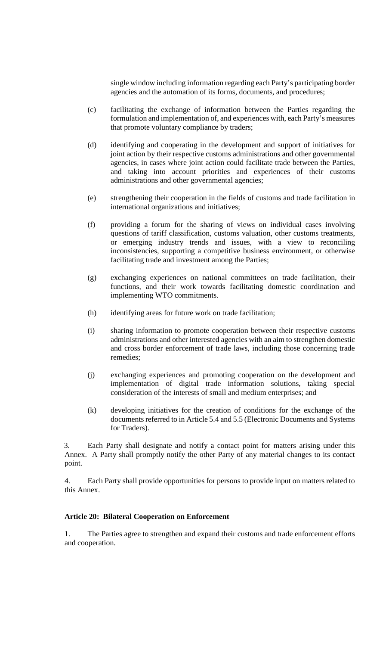single window including information regarding each Party's participating border agencies and the automation of its forms, documents, and procedures;

- (c) facilitating the exchange of information between the Parties regarding the formulation and implementation of, and experiences with, each Party's measures that promote voluntary compliance by traders;
- (d) identifying and cooperating in the development and support of initiatives for joint action by their respective customs administrations and other governmental agencies, in cases where joint action could facilitate trade between the Parties, and taking into account priorities and experiences of their customs administrations and other governmental agencies;
- (e) strengthening their cooperation in the fields of customs and trade facilitation in international organizations and initiatives;
- (f) providing a forum for the sharing of views on individual cases involving questions of tariff classification, customs valuation, other customs treatments, or emerging industry trends and issues, with a view to reconciling inconsistencies, supporting a competitive business environment, or otherwise facilitating trade and investment among the Parties;
- (g) exchanging experiences on national committees on trade facilitation, their functions, and their work towards facilitating domestic coordination and implementing WTO commitments.
- (h) identifying areas for future work on trade facilitation;
- (i) sharing information to promote cooperation between their respective customs administrations and other interested agencies with an aim to strengthen domestic and cross border enforcement of trade laws, including those concerning trade remedies;
- (j) exchanging experiences and promoting cooperation on the development and implementation of digital trade information solutions, taking special consideration of the interests of small and medium enterprises; and
- (k) developing initiatives for the creation of conditions for the exchange of the documents referred to in Article 5.4 and 5.5 (Electronic Documents and Systems for Traders).

3. Each Party shall designate and notify a contact point for matters arising under this Annex. A Party shall promptly notify the other Party of any material changes to its contact point.

4. Each Party shall provide opportunities for persons to provide input on matters related to this Annex.

## **Article 20: Bilateral Cooperation on Enforcement**

1. The Parties agree to strengthen and expand their customs and trade enforcement efforts and cooperation.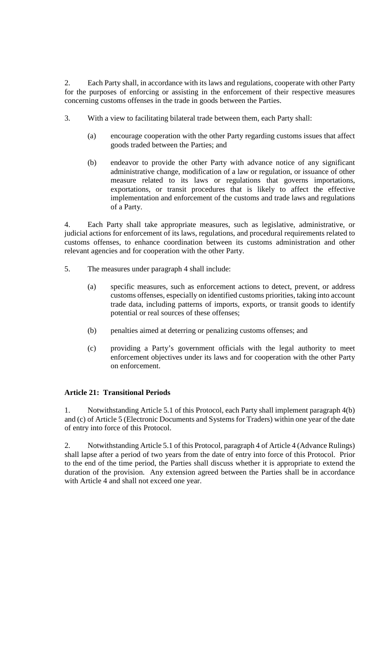2. Each Party shall, in accordance with its laws and regulations, cooperate with other Party for the purposes of enforcing or assisting in the enforcement of their respective measures concerning customs offenses in the trade in goods between the Parties.

- 3. With a view to facilitating bilateral trade between them, each Party shall:
	- (a) encourage cooperation with the other Party regarding customs issues that affect goods traded between the Parties; and
	- (b) endeavor to provide the other Party with advance notice of any significant administrative change, modification of a law or regulation, or issuance of other measure related to its laws or regulations that governs importations, exportations, or transit procedures that is likely to affect the effective implementation and enforcement of the customs and trade laws and regulations of a Party.

4. Each Party shall take appropriate measures, such as legislative, administrative, or judicial actions for enforcement of its laws, regulations, and procedural requirements related to customs offenses, to enhance coordination between its customs administration and other relevant agencies and for cooperation with the other Party.

- 5. The measures under paragraph 4 shall include:
	- (a) specific measures, such as enforcement actions to detect, prevent, or address customs offenses, especially on identified customs priorities, taking into account trade data, including patterns of imports, exports, or transit goods to identify potential or real sources of these offenses;
	- (b) penalties aimed at deterring or penalizing customs offenses; and
	- (c) providing a Party's government officials with the legal authority to meet enforcement objectives under its laws and for cooperation with the other Party on enforcement.

# **Article 21: Transitional Periods**

1. Notwithstanding Article 5.1 of this Protocol, each Party shall implement paragraph 4(b) and (c) of Article 5 (Electronic Documents and Systems for Traders) within one year of the date of entry into force of this Protocol.

2. Notwithstanding Article 5.1 of this Protocol, paragraph 4 of Article 4 (Advance Rulings) shall lapse after a period of two years from the date of entry into force of this Protocol. Prior to the end of the time period, the Parties shall discuss whether it is appropriate to extend the duration of the provision. Any extension agreed between the Parties shall be in accordance with Article 4 and shall not exceed one year.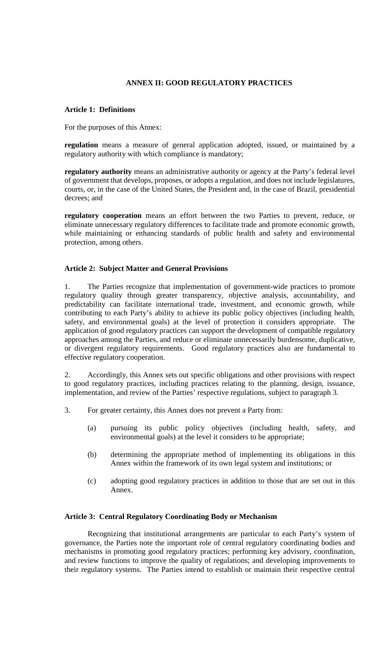# **ANNEX II: GOOD REGULATORY PRACTICES**

### **Article 1: Definitions**

For the purposes of this Annex:

**regulation** means a measure of general application adopted, issued, or maintained by a regulatory authority with which compliance is mandatory;

**regulatory authority** means an administrative authority or agency at the Party's federal level of government that develops, proposes, or adopts a regulation, and does not include legislatures, courts, or, in the case of the United States, the President and, in the case of Brazil, presidential decrees; and

**regulatory cooperation** means an effort between the two Parties to prevent, reduce, or eliminate unnecessary regulatory differences to facilitate trade and promote economic growth, while maintaining or enhancing standards of public health and safety and environmental protection, among others.

### **Article 2: Subject Matter and General Provisions**

1. The Parties recognize that implementation of government-wide practices to promote regulatory quality through greater transparency, objective analysis, accountability, and predictability can facilitate international trade, investment, and economic growth, while contributing to each Party's ability to achieve its public policy objectives (including health, safety, and environmental goals) at the level of protection it considers appropriate. The application of good regulatory practices can support the development of compatible regulatory approaches among the Parties, and reduce or eliminate unnecessarily burdensome, duplicative, or divergent regulatory requirements. Good regulatory practices also are fundamental to effective regulatory cooperation.

2. Accordingly, this Annex sets out specific obligations and other provisions with respect to good regulatory practices, including practices relating to the planning, design, issuance, implementation, and review of the Parties' respective regulations, subject to paragraph 3.

- 3. For greater certainty, this Annex does not prevent a Party from:
	- (a) pursuing its public policy objectives (including health, safety, and environmental goals) at the level it considers to be appropriate;
	- (b) determining the appropriate method of implementing its obligations in this Annex within the framework of its own legal system and institutions; or
	- (c) adopting good regulatory practices in addition to those that are set out in this Annex.

#### **Article 3: Central Regulatory Coordinating Body or Mechanism**

Recognizing that institutional arrangements are particular to each Party's system of governance, the Parties note the important role of central regulatory coordinating bodies and mechanisms in promoting good regulatory practices; performing key advisory, coordination, and review functions to improve the quality of regulations; and developing improvements to their regulatory systems. The Parties intend to establish or maintain their respective central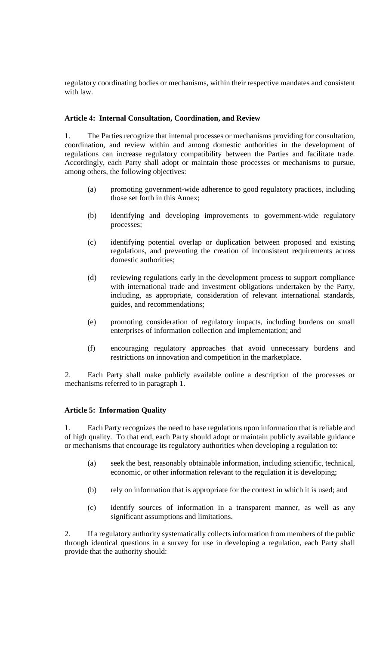regulatory coordinating bodies or mechanisms, within their respective mandates and consistent with law.

### **Article 4: Internal Consultation, Coordination, and Review**

1. The Parties recognize that internal processes or mechanisms providing for consultation, coordination, and review within and among domestic authorities in the development of regulations can increase regulatory compatibility between the Parties and facilitate trade. Accordingly, each Party shall adopt or maintain those processes or mechanisms to pursue, among others, the following objectives:

- (a) promoting government-wide adherence to good regulatory practices, including those set forth in this Annex;
- (b) identifying and developing improvements to government-wide regulatory processes;
- (c) identifying potential overlap or duplication between proposed and existing regulations, and preventing the creation of inconsistent requirements across domestic authorities;
- (d) reviewing regulations early in the development process to support compliance with international trade and investment obligations undertaken by the Party, including, as appropriate, consideration of relevant international standards, guides, and recommendations;
- (e) promoting consideration of regulatory impacts, including burdens on small enterprises of information collection and implementation; and
- (f) encouraging regulatory approaches that avoid unnecessary burdens and restrictions on innovation and competition in the marketplace.

2. Each Party shall make publicly available online a description of the processes or mechanisms referred to in paragraph 1.

#### **Article 5: Information Quality**

Each Party recognizes the need to base regulations upon information that is reliable and of high quality. To that end, each Party should adopt or maintain publicly available guidance or mechanisms that encourage its regulatory authorities when developing a regulation to:

- (a) seek the best, reasonably obtainable information, including scientific, technical, economic, or other information relevant to the regulation it is developing;
- (b) rely on information that is appropriate for the context in which it is used; and
- (c) identify sources of information in a transparent manner, as well as any significant assumptions and limitations.

2. If a regulatory authority systematically collects information from members of the public through identical questions in a survey for use in developing a regulation, each Party shall provide that the authority should: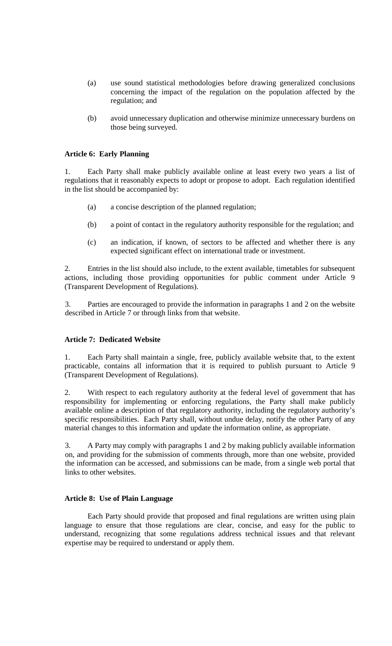- (a) use sound statistical methodologies before drawing generalized conclusions concerning the impact of the regulation on the population affected by the regulation; and
- (b) avoid unnecessary duplication and otherwise minimize unnecessary burdens on those being surveyed.

## **Article 6: Early Planning**

1. Each Party shall make publicly available online at least every two years a list of regulations that it reasonably expects to adopt or propose to adopt. Each regulation identified in the list should be accompanied by:

- (a) a concise description of the planned regulation;
- (b) a point of contact in the regulatory authority responsible for the regulation; and
- (c) an indication, if known, of sectors to be affected and whether there is any expected significant effect on international trade or investment.

2. Entries in the list should also include, to the extent available, timetables for subsequent actions, including those providing opportunities for public comment under Article 9 (Transparent Development of Regulations).

3. Parties are encouraged to provide the information in paragraphs 1 and 2 on the website described in Article 7 or through links from that website.

## **Article 7: Dedicated Website**

1. Each Party shall maintain a single, free, publicly available website that, to the extent practicable, contains all information that it is required to publish pursuant to Article 9 (Transparent Development of Regulations).

2. With respect to each regulatory authority at the federal level of government that has responsibility for implementing or enforcing regulations, the Party shall make publicly available online a description of that regulatory authority, including the regulatory authority's specific responsibilities. Each Party shall, without undue delay, notify the other Party of any material changes to this information and update the information online, as appropriate.

3. A Party may comply with paragraphs 1 and 2 by making publicly available information on, and providing for the submission of comments through, more than one website, provided the information can be accessed, and submissions can be made, from a single web portal that links to other websites.

### **Article 8: Use of Plain Language**

Each Party should provide that proposed and final regulations are written using plain language to ensure that those regulations are clear, concise, and easy for the public to understand, recognizing that some regulations address technical issues and that relevant expertise may be required to understand or apply them.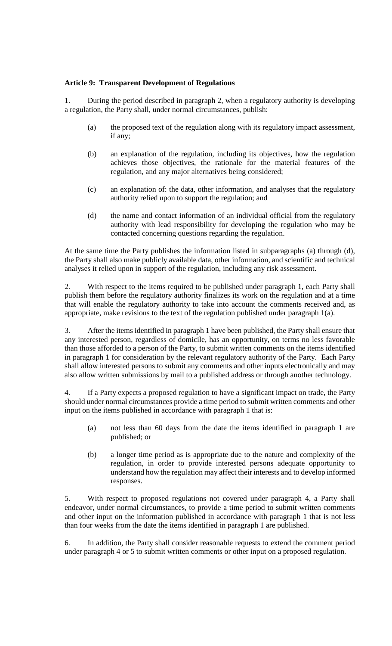## **Article 9: Transparent Development of Regulations**

1. During the period described in paragraph 2, when a regulatory authority is developing a regulation, the Party shall, under normal circumstances, publish:

- (a) the proposed text of the regulation along with its regulatory impact assessment, if any;
- (b) an explanation of the regulation, including its objectives, how the regulation achieves those objectives, the rationale for the material features of the regulation, and any major alternatives being considered;
- (c) an explanation of: the data, other information, and analyses that the regulatory authority relied upon to support the regulation; and
- (d) the name and contact information of an individual official from the regulatory authority with lead responsibility for developing the regulation who may be contacted concerning questions regarding the regulation.

At the same time the Party publishes the information listed in subparagraphs (a) through (d), the Party shall also make publicly available data, other information, and scientific and technical analyses it relied upon in support of the regulation, including any risk assessment.

2. With respect to the items required to be published under paragraph 1, each Party shall publish them before the regulatory authority finalizes its work on the regulation and at a time that will enable the regulatory authority to take into account the comments received and, as appropriate, make revisions to the text of the regulation published under paragraph 1(a).

3. After the items identified in paragraph 1 have been published, the Party shall ensure that any interested person, regardless of domicile, has an opportunity, on terms no less favorable than those afforded to a person of the Party, to submit written comments on the items identified in paragraph 1 for consideration by the relevant regulatory authority of the Party. Each Party shall allow interested persons to submit any comments and other inputs electronically and may also allow written submissions by mail to a published address or through another technology.

4. If a Party expects a proposed regulation to have a significant impact on trade, the Party should under normal circumstances provide a time period to submit written comments and other input on the items published in accordance with paragraph 1 that is:

- (a) not less than 60 days from the date the items identified in paragraph 1 are published; or
- (b) a longer time period as is appropriate due to the nature and complexity of the regulation, in order to provide interested persons adequate opportunity to understand how the regulation may affect their interests and to develop informed responses.

5. With respect to proposed regulations not covered under paragraph 4, a Party shall endeavor, under normal circumstances, to provide a time period to submit written comments and other input on the information published in accordance with paragraph 1 that is not less than four weeks from the date the items identified in paragraph 1 are published.

6. In addition, the Party shall consider reasonable requests to extend the comment period under paragraph 4 or 5 to submit written comments or other input on a proposed regulation.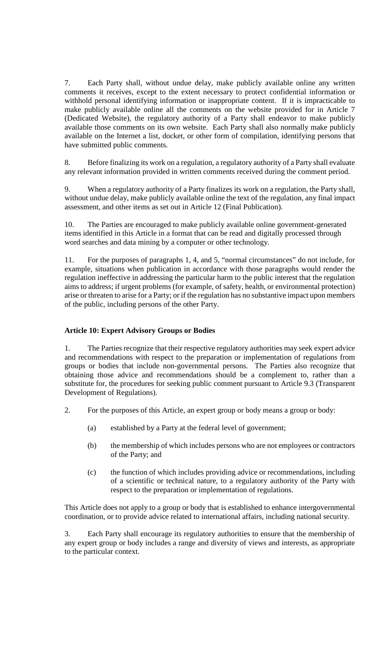7. Each Party shall, without undue delay, make publicly available online any written comments it receives, except to the extent necessary to protect confidential information or withhold personal identifying information or inappropriate content. If it is impracticable to make publicly available online all the comments on the website provided for in Article 7 (Dedicated Website), the regulatory authority of a Party shall endeavor to make publicly available those comments on its own website. Each Party shall also normally make publicly available on the Internet a list, docket, or other form of compilation, identifying persons that have submitted public comments.

8. Before finalizing its work on a regulation, a regulatory authority of a Party shall evaluate any relevant information provided in written comments received during the comment period.

9. When a regulatory authority of a Party finalizes its work on a regulation, the Party shall, without undue delay, make publicly available online the text of the regulation, any final impact assessment, and other items as set out in Article 12 (Final Publication).

10. The Parties are encouraged to make publicly available online government-generated items identified in this Article in a format that can be read and digitally processed through word searches and data mining by a computer or other technology.

11. For the purposes of paragraphs 1, 4, and 5, "normal circumstances" do not include, for example, situations when publication in accordance with those paragraphs would render the regulation ineffective in addressing the particular harm to the public interest that the regulation aims to address; if urgent problems (for example, of safety, health, or environmental protection) arise or threaten to arise for a Party; or if the regulation has no substantive impact upon members of the public, including persons of the other Party.

## **Article 10: Expert Advisory Groups or Bodies**

1. The Parties recognize that their respective regulatory authorities may seek expert advice and recommendations with respect to the preparation or implementation of regulations from groups or bodies that include non-governmental persons. The Parties also recognize that obtaining those advice and recommendations should be a complement to, rather than a substitute for, the procedures for seeking public comment pursuant to Article 9.3 (Transparent Development of Regulations).

2. For the purposes of this Article, an expert group or body means a group or body:

- (a) established by a Party at the federal level of government;
- (b) the membership of which includes persons who are not employees or contractors of the Party; and
- (c) the function of which includes providing advice or recommendations, including of a scientific or technical nature, to a regulatory authority of the Party with respect to the preparation or implementation of regulations.

This Article does not apply to a group or body that is established to enhance intergovernmental coordination, or to provide advice related to international affairs, including national security.

3. Each Party shall encourage its regulatory authorities to ensure that the membership of any expert group or body includes a range and diversity of views and interests, as appropriate to the particular context.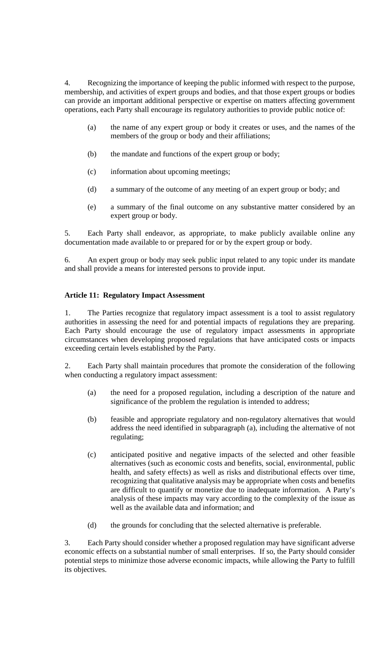4. Recognizing the importance of keeping the public informed with respect to the purpose, membership, and activities of expert groups and bodies, and that those expert groups or bodies can provide an important additional perspective or expertise on matters affecting government operations, each Party shall encourage its regulatory authorities to provide public notice of:

- (a) the name of any expert group or body it creates or uses, and the names of the members of the group or body and their affiliations;
- (b) the mandate and functions of the expert group or body;
- (c) information about upcoming meetings;
- (d) a summary of the outcome of any meeting of an expert group or body; and
- (e) a summary of the final outcome on any substantive matter considered by an expert group or body.

5. Each Party shall endeavor, as appropriate, to make publicly available online any documentation made available to or prepared for or by the expert group or body.

6. An expert group or body may seek public input related to any topic under its mandate and shall provide a means for interested persons to provide input.

## **Article 11: Regulatory Impact Assessment**

1. The Parties recognize that regulatory impact assessment is a tool to assist regulatory authorities in assessing the need for and potential impacts of regulations they are preparing. Each Party should encourage the use of regulatory impact assessments in appropriate circumstances when developing proposed regulations that have anticipated costs or impacts exceeding certain levels established by the Party.

2. Each Party shall maintain procedures that promote the consideration of the following when conducting a regulatory impact assessment:

- (a) the need for a proposed regulation, including a description of the nature and significance of the problem the regulation is intended to address;
- (b) feasible and appropriate regulatory and non-regulatory alternatives that would address the need identified in subparagraph (a), including the alternative of not regulating;
- (c) anticipated positive and negative impacts of the selected and other feasible alternatives (such as economic costs and benefits, social, environmental, public health, and safety effects) as well as risks and distributional effects over time, recognizing that qualitative analysis may be appropriate when costs and benefits are difficult to quantify or monetize due to inadequate information. A Party's analysis of these impacts may vary according to the complexity of the issue as well as the available data and information; and
- (d) the grounds for concluding that the selected alternative is preferable.

3. Each Party should consider whether a proposed regulation may have significant adverse economic effects on a substantial number of small enterprises. If so, the Party should consider potential steps to minimize those adverse economic impacts, while allowing the Party to fulfill its objectives.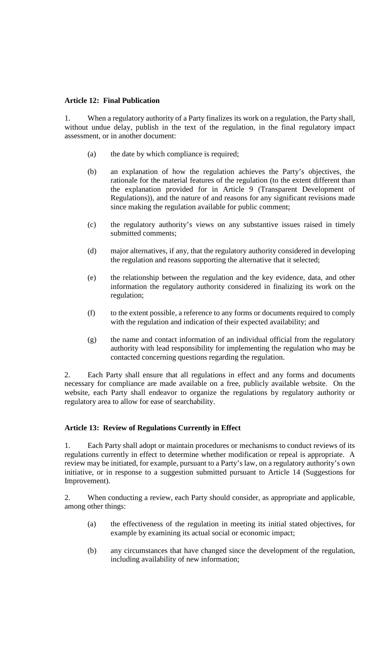### **Article 12: Final Publication**

1. When a regulatory authority of a Party finalizes its work on a regulation, the Party shall, without undue delay, publish in the text of the regulation, in the final regulatory impact assessment, or in another document:

- (a) the date by which compliance is required;
- (b) an explanation of how the regulation achieves the Party's objectives, the rationale for the material features of the regulation (to the extent different than the explanation provided for in Article 9 (Transparent Development of Regulations)), and the nature of and reasons for any significant revisions made since making the regulation available for public comment;
- (c) the regulatory authority's views on any substantive issues raised in timely submitted comments;
- (d) major alternatives, if any, that the regulatory authority considered in developing the regulation and reasons supporting the alternative that it selected;
- (e) the relationship between the regulation and the key evidence, data, and other information the regulatory authority considered in finalizing its work on the regulation;
- (f) to the extent possible, a reference to any forms or documents required to comply with the regulation and indication of their expected availability; and
- (g) the name and contact information of an individual official from the regulatory authority with lead responsibility for implementing the regulation who may be contacted concerning questions regarding the regulation.

2. Each Party shall ensure that all regulations in effect and any forms and documents necessary for compliance are made available on a free, publicly available website. On the website, each Party shall endeavor to organize the regulations by regulatory authority or regulatory area to allow for ease of searchability.

#### **Article 13: Review of Regulations Currently in Effect**

1. Each Party shall adopt or maintain procedures or mechanisms to conduct reviews of its regulations currently in effect to determine whether modification or repeal is appropriate. A review may be initiated, for example, pursuant to a Party's law, on a regulatory authority's own initiative, or in response to a suggestion submitted pursuant to Article 14 (Suggestions for Improvement).

2. When conducting a review, each Party should consider, as appropriate and applicable, among other things:

- (a) the effectiveness of the regulation in meeting its initial stated objectives, for example by examining its actual social or economic impact;
- (b) any circumstances that have changed since the development of the regulation, including availability of new information;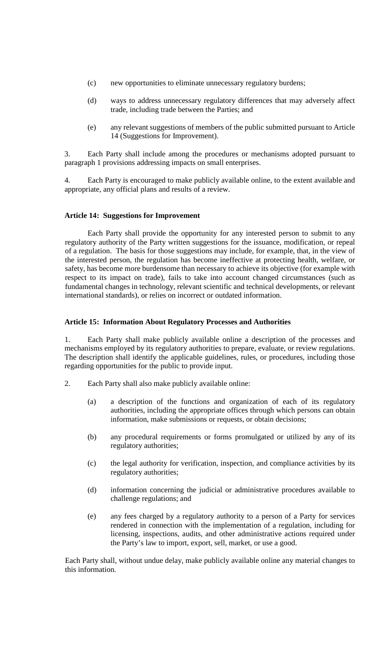- (c) new opportunities to eliminate unnecessary regulatory burdens;
- (d) ways to address unnecessary regulatory differences that may adversely affect trade, including trade between the Parties; and
- (e) any relevant suggestions of members of the public submitted pursuant to Article 14 (Suggestions for Improvement).

3. Each Party shall include among the procedures or mechanisms adopted pursuant to paragraph 1 provisions addressing impacts on small enterprises.

4. Each Party is encouraged to make publicly available online, to the extent available and appropriate, any official plans and results of a review.

### **Article 14: Suggestions for Improvement**

Each Party shall provide the opportunity for any interested person to submit to any regulatory authority of the Party written suggestions for the issuance, modification, or repeal of a regulation. The basis for those suggestions may include, for example, that, in the view of the interested person, the regulation has become ineffective at protecting health, welfare, or safety, has become more burdensome than necessary to achieve its objective (for example with respect to its impact on trade), fails to take into account changed circumstances (such as fundamental changes in technology, relevant scientific and technical developments, or relevant international standards), or relies on incorrect or outdated information.

## **Article 15: Information About Regulatory Processes and Authorities**

1. Each Party shall make publicly available online a description of the processes and mechanisms employed by its regulatory authorities to prepare, evaluate, or review regulations. The description shall identify the applicable guidelines, rules, or procedures, including those regarding opportunities for the public to provide input.

- 2. Each Party shall also make publicly available online:
	- (a) a description of the functions and organization of each of its regulatory authorities, including the appropriate offices through which persons can obtain information, make submissions or requests, or obtain decisions;
	- (b) any procedural requirements or forms promulgated or utilized by any of its regulatory authorities;
	- (c) the legal authority for verification, inspection, and compliance activities by its regulatory authorities;
	- (d) information concerning the judicial or administrative procedures available to challenge regulations; and
	- (e) any fees charged by a regulatory authority to a person of a Party for services rendered in connection with the implementation of a regulation, including for licensing, inspections, audits, and other administrative actions required under the Party's law to import, export, sell, market, or use a good.

Each Party shall, without undue delay, make publicly available online any material changes to this information.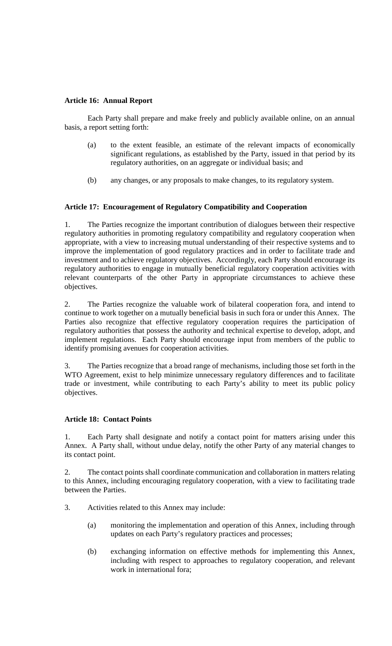## **Article 16: Annual Report**

Each Party shall prepare and make freely and publicly available online, on an annual basis, a report setting forth:

- (a) to the extent feasible, an estimate of the relevant impacts of economically significant regulations, as established by the Party, issued in that period by its regulatory authorities, on an aggregate or individual basis; and
- (b) any changes, or any proposals to make changes, to its regulatory system.

## **Article 17: Encouragement of Regulatory Compatibility and Cooperation**

1. The Parties recognize the important contribution of dialogues between their respective regulatory authorities in promoting regulatory compatibility and regulatory cooperation when appropriate, with a view to increasing mutual understanding of their respective systems and to improve the implementation of good regulatory practices and in order to facilitate trade and investment and to achieve regulatory objectives. Accordingly, each Party should encourage its regulatory authorities to engage in mutually beneficial regulatory cooperation activities with relevant counterparts of the other Party in appropriate circumstances to achieve these objectives.

2. The Parties recognize the valuable work of bilateral cooperation fora, and intend to continue to work together on a mutually beneficial basis in such fora or under this Annex. The Parties also recognize that effective regulatory cooperation requires the participation of regulatory authorities that possess the authority and technical expertise to develop, adopt, and implement regulations. Each Party should encourage input from members of the public to identify promising avenues for cooperation activities.

3. The Parties recognize that a broad range of mechanisms, including those set forth in the WTO Agreement, exist to help minimize unnecessary regulatory differences and to facilitate trade or investment, while contributing to each Party's ability to meet its public policy objectives.

## **Article 18: Contact Points**

1. Each Party shall designate and notify a contact point for matters arising under this Annex. A Party shall, without undue delay, notify the other Party of any material changes to its contact point.

2. The contact points shall coordinate communication and collaboration in matters relating to this Annex, including encouraging regulatory cooperation, with a view to facilitating trade between the Parties.

- 3. Activities related to this Annex may include:
	- (a) monitoring the implementation and operation of this Annex, including through updates on each Party's regulatory practices and processes;
	- (b) exchanging information on effective methods for implementing this Annex, including with respect to approaches to regulatory cooperation, and relevant work in international fora;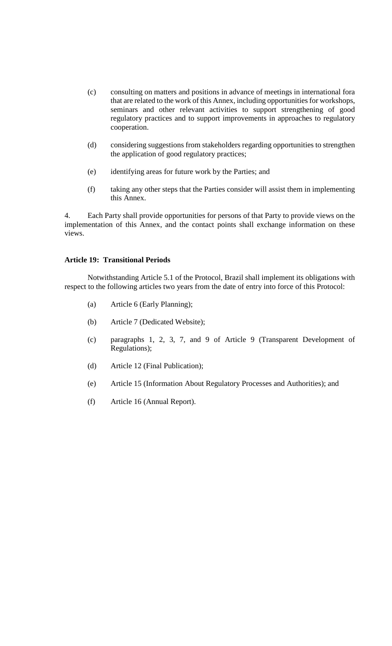- (c) consulting on matters and positions in advance of meetings in international fora that are related to the work of this Annex, including opportunities for workshops, seminars and other relevant activities to support strengthening of good regulatory practices and to support improvements in approaches to regulatory cooperation.
- (d) considering suggestions from stakeholders regarding opportunities to strengthen the application of good regulatory practices;
- (e) identifying areas for future work by the Parties; and
- (f) taking any other steps that the Parties consider will assist them in implementing this Annex.

4. Each Party shall provide opportunities for persons of that Party to provide views on the implementation of this Annex, and the contact points shall exchange information on these views.

#### **Article 19: Transitional Periods**

Notwithstanding Article 5.1 of the Protocol, Brazil shall implement its obligations with respect to the following articles two years from the date of entry into force of this Protocol:

- (a) Article 6 (Early Planning);
- (b) Article 7 (Dedicated Website);
- (c) paragraphs 1, 2, 3, 7, and 9 of Article 9 (Transparent Development of Regulations);
- (d) Article 12 (Final Publication);
- (e) Article 15 (Information About Regulatory Processes and Authorities); and
- (f) Article 16 (Annual Report).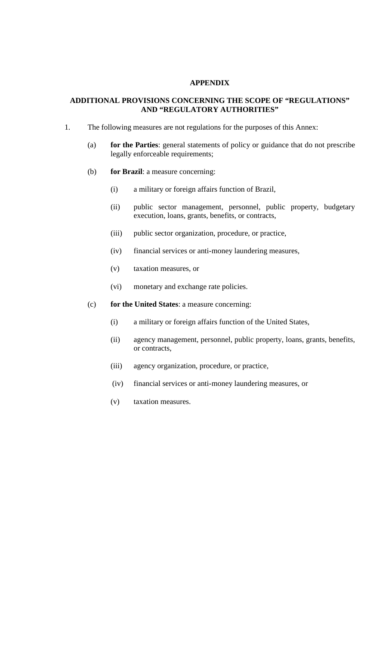## **APPENDIX**

## **ADDITIONAL PROVISIONS CONCERNING THE SCOPE OF "REGULATIONS" AND "REGULATORY AUTHORITIES"**

- 1. The following measures are not regulations for the purposes of this Annex:
	- (a) **for the Parties**: general statements of policy or guidance that do not prescribe legally enforceable requirements;
	- (b) **for Brazil**: a measure concerning:
		- (i) a military or foreign affairs function of Brazil,
		- (ii) public sector management, personnel, public property, budgetary execution, loans, grants, benefits, or contracts,
		- (iii) public sector organization, procedure, or practice,
		- (iv) financial services or anti-money laundering measures,
		- (v) taxation measures, or
		- (vi) monetary and exchange rate policies.
	- (c) **for the United States**: a measure concerning:
		- (i) a military or foreign affairs function of the United States,
		- (ii) agency management, personnel, public property, loans, grants, benefits, or contracts,
		- (iii) agency organization, procedure, or practice,
		- (iv) financial services or anti-money laundering measures, or
		- (v) taxation measures.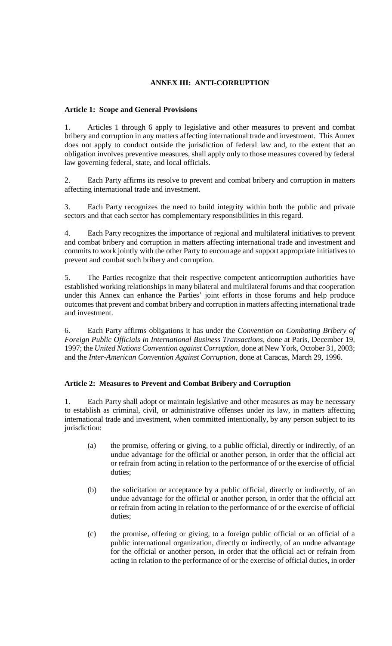# **ANNEX III: ANTI-CORRUPTION**

# **Article 1: Scope and General Provisions**

1. Articles 1 through 6 apply to legislative and other measures to prevent and combat bribery and corruption in any matters affecting international trade and investment. This Annex does not apply to conduct outside the jurisdiction of federal law and, to the extent that an obligation involves preventive measures, shall apply only to those measures covered by federal law governing federal, state, and local officials.

2. Each Party affirms its resolve to prevent and combat bribery and corruption in matters affecting international trade and investment.

3. Each Party recognizes the need to build integrity within both the public and private sectors and that each sector has complementary responsibilities in this regard.

4. Each Party recognizes the importance of regional and multilateral initiatives to prevent and combat bribery and corruption in matters affecting international trade and investment and commits to work jointly with the other Party to encourage and support appropriate initiatives to prevent and combat such bribery and corruption.

5. The Parties recognize that their respective competent anticorruption authorities have established working relationships in many bilateral and multilateral forums and that cooperation under this Annex can enhance the Parties' joint efforts in those forums and help produce outcomes that prevent and combat bribery and corruption in matters affecting international trade and investment.

6. Each Party affirms obligations it has under the *Convention on Combating Bribery of Foreign Public Officials in International Business Transactions*, done at Paris, December 19, 1997; the *United Nations Convention against Corruption,* done at New York, October 31, 2003; and the *Inter-American Convention Against Corruption*, done at Caracas, March 29, 1996.

# **Article 2: Measures to Prevent and Combat Bribery and Corruption**

1. Each Party shall adopt or maintain legislative and other measures as may be necessary to establish as criminal, civil, or administrative offenses under its law, in matters affecting international trade and investment, when committed intentionally, by any person subject to its jurisdiction:

- (a) the promise, offering or giving, to a public official, directly or indirectly, of an undue advantage for the official or another person, in order that the official act or refrain from acting in relation to the performance of or the exercise of official duties;
- (b) the solicitation or acceptance by a public official, directly or indirectly, of an undue advantage for the official or another person, in order that the official act or refrain from acting in relation to the performance of or the exercise of official duties;
- (c) the promise, offering or giving, to a foreign public official or an official of a public international organization, directly or indirectly, of an undue advantage for the official or another person, in order that the official act or refrain from acting in relation to the performance of or the exercise of official duties, in order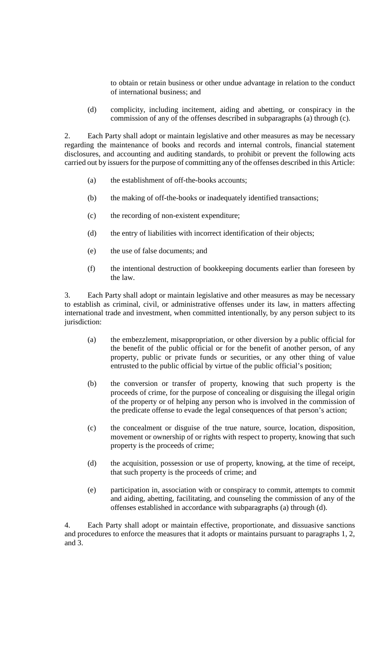to obtain or retain business or other undue advantage in relation to the conduct of international business; and

(d) complicity, including incitement, aiding and abetting, or conspiracy in the commission of any of the offenses described in subparagraphs (a) through (c).

2. Each Party shall adopt or maintain legislative and other measures as may be necessary regarding the maintenance of books and records and internal controls, financial statement disclosures, and accounting and auditing standards, to prohibit or prevent the following acts carried out by issuers for the purpose of committing any of the offenses described in this Article:

- (a) the establishment of off-the-books accounts;
- (b) the making of off-the-books or inadequately identified transactions;
- (c) the recording of non-existent expenditure;
- (d) the entry of liabilities with incorrect identification of their objects;
- (e) the use of false documents; and
- (f) the intentional destruction of bookkeeping documents earlier than foreseen by the law.

3. Each Party shall adopt or maintain legislative and other measures as may be necessary to establish as criminal, civil, or administrative offenses under its law, in matters affecting international trade and investment, when committed intentionally, by any person subject to its jurisdiction:

- (a) the embezzlement, misappropriation, or other diversion by a public official for the benefit of the public official or for the benefit of another person, of any property, public or private funds or securities, or any other thing of value entrusted to the public official by virtue of the public official's position;
- (b) the conversion or transfer of property, knowing that such property is the proceeds of crime, for the purpose of concealing or disguising the illegal origin of the property or of helping any person who is involved in the commission of the predicate offense to evade the legal consequences of that person's action;
- (c) the concealment or disguise of the true nature, source, location, disposition, movement or ownership of or rights with respect to property, knowing that such property is the proceeds of crime;
- (d) the acquisition, possession or use of property, knowing, at the time of receipt, that such property is the proceeds of crime; and
- (e) participation in, association with or conspiracy to commit, attempts to commit and aiding, abetting, facilitating, and counseling the commission of any of the offenses established in accordance with subparagraphs (a) through (d).

4. Each Party shall adopt or maintain effective, proportionate, and dissuasive sanctions and procedures to enforce the measures that it adopts or maintains pursuant to paragraphs 1, 2, and 3.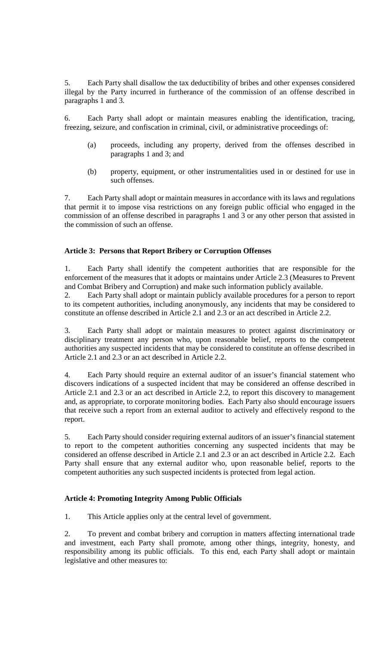5. Each Party shall disallow the tax deductibility of bribes and other expenses considered illegal by the Party incurred in furtherance of the commission of an offense described in paragraphs 1 and 3.

6. Each Party shall adopt or maintain measures enabling the identification, tracing, freezing, seizure, and confiscation in criminal, civil, or administrative proceedings of:

- (a) proceeds, including any property, derived from the offenses described in paragraphs 1 and 3; and
- (b) property, equipment, or other instrumentalities used in or destined for use in such offenses.

7. Each Party shall adopt or maintain measures in accordance with its laws and regulations that permit it to impose visa restrictions on any foreign public official who engaged in the commission of an offense described in paragraphs 1 and 3 or any other person that assisted in the commission of such an offense.

# **Article 3: Persons that Report Bribery or Corruption Offenses**

1. Each Party shall identify the competent authorities that are responsible for the enforcement of the measures that it adopts or maintains under Article 2.3 (Measures to Prevent and Combat Bribery and Corruption) and make such information publicly available.

2. Each Party shall adopt or maintain publicly available procedures for a person to report to its competent authorities, including anonymously, any incidents that may be considered to constitute an offense described in Article 2.1 and 2.3 or an act described in Article 2.2.

3. Each Party shall adopt or maintain measures to protect against discriminatory or disciplinary treatment any person who, upon reasonable belief, reports to the competent authorities any suspected incidents that may be considered to constitute an offense described in Article 2.1 and 2.3 or an act described in Article 2.2.

4. Each Party should require an external auditor of an issuer's financial statement who discovers indications of a suspected incident that may be considered an offense described in Article 2.1 and 2.3 or an act described in Article 2.2, to report this discovery to management and, as appropriate, to corporate monitoring bodies. Each Party also should encourage issuers that receive such a report from an external auditor to actively and effectively respond to the report.

5. Each Party should consider requiring external auditors of an issuer's financial statement to report to the competent authorities concerning any suspected incidents that may be considered an offense described in Article 2.1 and 2.3 or an act described in Article 2.2. Each Party shall ensure that any external auditor who, upon reasonable belief, reports to the competent authorities any such suspected incidents is protected from legal action.

## **Article 4: Promoting Integrity Among Public Officials**

1. This Article applies only at the central level of government.

2. To prevent and combat bribery and corruption in matters affecting international trade and investment, each Party shall promote, among other things, integrity, honesty, and responsibility among its public officials. To this end, each Party shall adopt or maintain legislative and other measures to: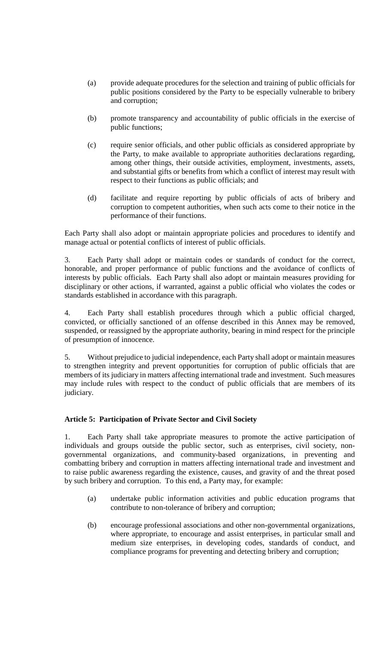- (a) provide adequate procedures for the selection and training of public officials for public positions considered by the Party to be especially vulnerable to bribery and corruption;
- (b) promote transparency and accountability of public officials in the exercise of public functions;
- (c) require senior officials, and other public officials as considered appropriate by the Party, to make available to appropriate authorities declarations regarding, among other things, their outside activities, employment, investments, assets, and substantial gifts or benefits from which a conflict of interest may result with respect to their functions as public officials; and
- (d) facilitate and require reporting by public officials of acts of bribery and corruption to competent authorities, when such acts come to their notice in the performance of their functions.

Each Party shall also adopt or maintain appropriate policies and procedures to identify and manage actual or potential conflicts of interest of public officials.

3. Each Party shall adopt or maintain codes or standards of conduct for the correct, honorable, and proper performance of public functions and the avoidance of conflicts of interests by public officials. Each Party shall also adopt or maintain measures providing for disciplinary or other actions, if warranted, against a public official who violates the codes or standards established in accordance with this paragraph.

4. Each Party shall establish procedures through which a public official charged, convicted, or officially sanctioned of an offense described in this Annex may be removed, suspended, or reassigned by the appropriate authority, bearing in mind respect for the principle of presumption of innocence.

5. Without prejudice to judicial independence, each Party shall adopt or maintain measures to strengthen integrity and prevent opportunities for corruption of public officials that are members of its judiciary in matters affecting international trade and investment. Such measures may include rules with respect to the conduct of public officials that are members of its judiciary.

## **Article 5: Participation of Private Sector and Civil Society**

1. Each Party shall take appropriate measures to promote the active participation of individuals and groups outside the public sector, such as enterprises, civil society, nongovernmental organizations, and community-based organizations, in preventing and combatting bribery and corruption in matters affecting international trade and investment and to raise public awareness regarding the existence, causes, and gravity of and the threat posed by such bribery and corruption. To this end, a Party may, for example:

- (a) undertake public information activities and public education programs that contribute to non-tolerance of bribery and corruption;
- (b) encourage professional associations and other non-governmental organizations, where appropriate, to encourage and assist enterprises, in particular small and medium size enterprises, in developing codes, standards of conduct, and compliance programs for preventing and detecting bribery and corruption;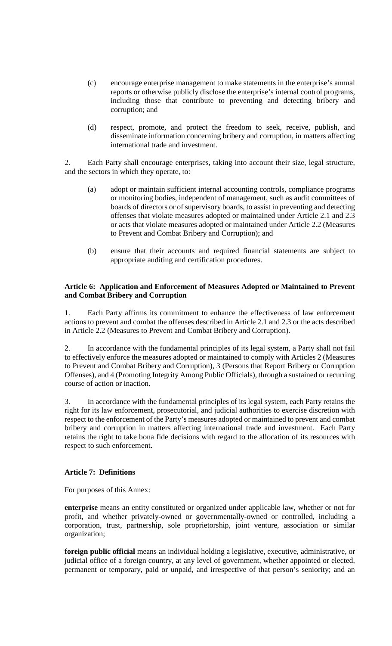- (c) encourage enterprise management to make statements in the enterprise's annual reports or otherwise publicly disclose the enterprise's internal control programs, including those that contribute to preventing and detecting bribery and corruption; and
- (d) respect, promote, and protect the freedom to seek, receive, publish, and disseminate information concerning bribery and corruption, in matters affecting international trade and investment.

2. Each Party shall encourage enterprises, taking into account their size, legal structure, and the sectors in which they operate, to:

- (a) adopt or maintain sufficient internal accounting controls, compliance programs or monitoring bodies, independent of management, such as audit committees of boards of directors or of supervisory boards, to assist in preventing and detecting offenses that violate measures adopted or maintained under Article 2.1 and 2.3 or acts that violate measures adopted or maintained under Article 2.2 (Measures to Prevent and Combat Bribery and Corruption); and
- (b) ensure that their accounts and required financial statements are subject to appropriate auditing and certification procedures.

### **Article 6: Application and Enforcement of Measures Adopted or Maintained to Prevent and Combat Bribery and Corruption**

1. Each Party affirms its commitment to enhance the effectiveness of law enforcement actions to prevent and combat the offenses described in Article 2.1 and 2.3 or the acts described in Article 2.2 (Measures to Prevent and Combat Bribery and Corruption).

2. In accordance with the fundamental principles of its legal system, a Party shall not fail to effectively enforce the measures adopted or maintained to comply with Articles 2 (Measures to Prevent and Combat Bribery and Corruption), 3 (Persons that Report Bribery or Corruption Offenses), and 4 (Promoting Integrity Among Public Officials), through a sustained or recurring course of action or inaction.

3. In accordance with the fundamental principles of its legal system, each Party retains the right for its law enforcement, prosecutorial, and judicial authorities to exercise discretion with respect to the enforcement of the Party's measures adopted or maintained to prevent and combat bribery and corruption in matters affecting international trade and investment. Each Party retains the right to take bona fide decisions with regard to the allocation of its resources with respect to such enforcement.

## **Article 7: Definitions**

For purposes of this Annex:

**enterprise** means an entity constituted or organized under applicable law, whether or not for profit, and whether privately-owned or governmentally-owned or controlled, including a corporation, trust, partnership, sole proprietorship, joint venture, association or similar organization;

**foreign public official** means an individual holding a legislative, executive, administrative, or judicial office of a foreign country, at any level of government, whether appointed or elected, permanent or temporary, paid or unpaid, and irrespective of that person's seniority; and an